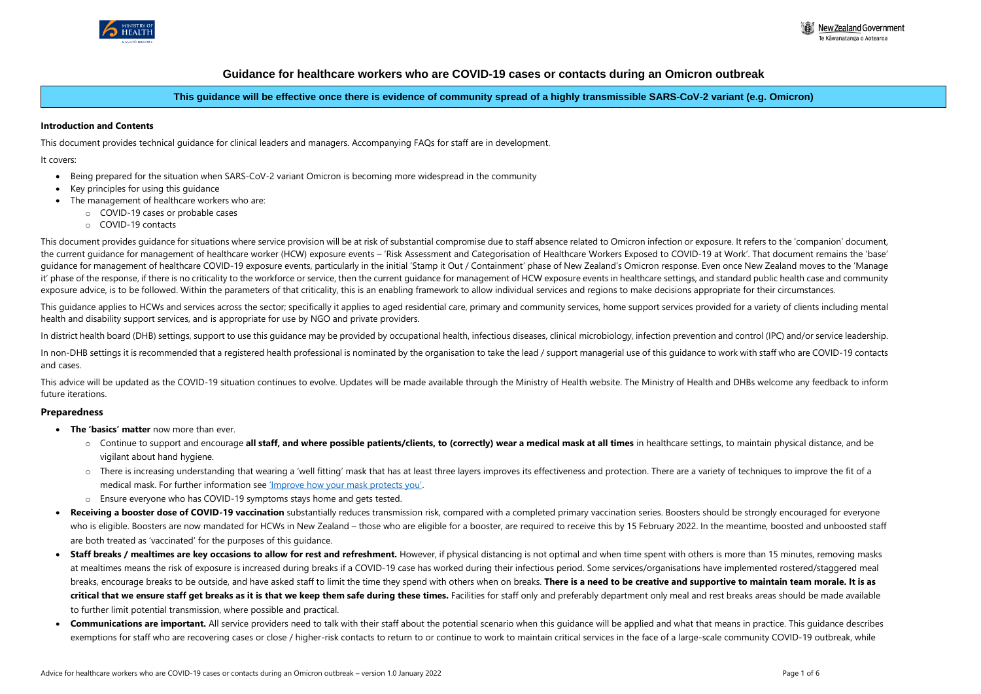

# **Guidance for healthcare workers who are COVID-19 cases or contacts during an Omicron outbreak**

# **This guidance will be effective once there is evidence of community spread of a highly transmissible SARS-CoV-2 variant (e.g. Omicron)**

#### **Introduction and Contents**

This document provides guidance for situations where service provision will be at risk of substantial compromise due to staff absence related to Omicron infection or exposure. It refers to the 'companion' document, the current guidance for management of healthcare worker (HCW) exposure events – 'Risk Assessment and Categorisation of Healthcare Workers Exposed to COVID-19 at Work'. That document remains the 'base' guidance for management of healthcare COVID-19 exposure events, particularly in the initial 'Stamp it Out / Containment' phase of New Zealand's Omicron response. Even once New Zealand moves to the 'Manage it' phase of the response, if there is no criticality to the workforce or service, then the current guidance for management of HCW exposure events in healthcare settings, and standard public health case and community exposure advice, is to be followed. Within the parameters of that criticality, this is an enabling framework to allow individual services and regions to make decisions appropriate for their circumstances.

This document provides technical guidance for clinical leaders and managers. Accompanying FAQs for staff are in development.

It covers:

- Being prepared for the situation when SARS-CoV-2 variant Omicron is becoming more widespread in the community
- Key principles for using this guidance
- The management of healthcare workers who are:
	- o COVID-19 cases or probable cases
	- o COVID-19 contacts

This guidance applies to HCWs and services across the sector; specifically it applies to aged residential care, primary and community services, home support services provided for a variety of clients including mental health and disability support services, and is appropriate for use by NGO and private providers.

This advice will be updated as the COVID-19 situation continues to evolve. Updates will be made available through the Ministry of Health website. The Ministry of Health and DHBs welcome any feedback to inform future iterations.

- **The 'basics' matter** now more than ever.
	- o Continue to support and encourage **all staff, and where possible patients/clients, to (correctly) wear a medical mask at all times** in healthcare settings, to maintain physical distance, and be vigilant about hand hygiene.
	- o There is increasing understanding that wearing a 'well fitting' mask that has at least three layers improves its effectiveness and protection. There are a variety of techniques to improve the fit of a medical mask. For further information see ['Improve how your mask protects you'](https://www.cdc.gov/coronavirus/2019-ncov/your-health/effective-masks.html).
	- o Ensure everyone who has COVID-19 symptoms stays home and gets tested.
- Receiving a booster dose of COVID-19 vaccination substantially reduces transmission risk, compared with a completed primary vaccination series. Boosters should be strongly encouraged for everyone who is eligible. Boosters are now mandated for HCWs in New Zealand – those who are eligible for a booster, are required to receive this by 15 February 2022. In the meantime, boosted and unboosted staff are both treated as 'vaccinated' for the purposes of this guidance.
- Staff breaks / mealtimes are key occasions to allow for rest and refreshment. However, if physical distancing is not optimal and when time spent with others is more than 15 minutes, removing masks at mealtimes means the risk of exposure is increased during breaks if a COVID-19 case has worked during their infectious period. Some services/organisations have implemented rostered/staggered meal breaks, encourage breaks to be outside, and have asked staff to limit the time they spend with others when on breaks. **There is a need to be creative and supportive to maintain team morale. It is as**  critical that we ensure staff get breaks as it is that we keep them safe during these times. Facilities for staff only and preferably department only meal and rest breaks areas should be made available to further limit potential transmission, where possible and practical.
- Communications are important. All service providers need to talk with their staff about the potential scenario when this quidance will be applied and what that means in practice. This quidance describes exemptions for staff who are recovering cases or close / higher-risk contacts to return to or continue to work to maintain critical services in the face of a large-scale community COVID-19 outbreak, while



In district health board (DHB) settings, support to use this guidance may be provided by occupational health, infectious diseases, clinical microbiology, infection prevention and control (IPC) and/or service leadership.

In non-DHB settings it is recommended that a registered health professional is nominated by the organisation to take the lead / support managerial use of this guidance to work with staff who are COVID-19 contacts and cases.

#### **Preparedness**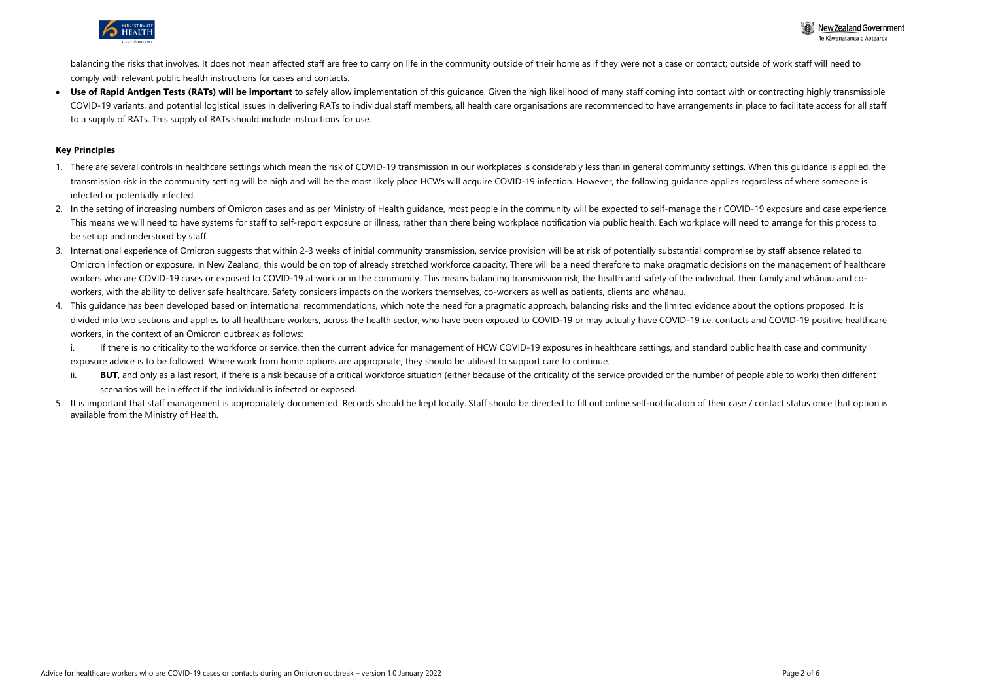

balancing the risks that involves. It does not mean affected staff are free to carry on life in the community outside of their home as if they were not a case or contact; outside of work staff will need to comply with relevant public health instructions for cases and contacts.

Use of Rapid Antigen Tests (RATs) will be important to safely allow implementation of this quidance. Given the high likelihood of many staff coming into contact with or contracting highly transmissible COVID-19 variants, and potential logistical issues in delivering RATs to individual staff members, all health care organisations are recommended to have arrangements in place to facilitate access for all staff to a supply of RATs. This supply of RATs should include instructions for use.

### **Key Principles**

- 1. There are several controls in healthcare settings which mean the risk of COVID-19 transmission in our workplaces is considerably less than in general community settings. When this guidance is applied, the transmission risk in the community setting will be high and will be the most likely place HCWs will acquire COVID-19 infection. However, the following guidance applies regardless of where someone is infected or potentially infected.
- 2. In the setting of increasing numbers of Omicron cases and as per Ministry of Health guidance, most people in the community will be expected to self-manage their COVID-19 exposure and case experience. This means we will need to have systems for staff to self-report exposure or illness, rather than there being workplace notification via public health. Each workplace will need to arrange for this process to be set up and understood by staff.
- 3. International experience of Omicron suggests that within 2-3 weeks of initial community transmission, service provision will be at risk of potentially substantial compromise by staff absence related to Omicron infection or exposure. In New Zealand, this would be on top of already stretched workforce capacity. There will be a need therefore to make pragmatic decisions on the management of healthcare workers who are COVID-19 cases or exposed to COVID-19 at work or in the community. This means balancing transmission risk, the health and safety of the individual, their family and whānau and coworkers, with the ability to deliver safe healthcare. Safety considers impacts on the workers themselves, co-workers as well as patients, clients and whānau.
- 4. This guidance has been developed based on international recommendations, which note the need for a pragmatic approach, balancing risks and the limited evidence about the options proposed. It is divided into two sections and applies to all healthcare workers, across the health sector, who have been exposed to COVID-19 or may actually have COVID-19 i.e. contacts and COVID-19 positive healthcare workers, in the context of an Omicron outbreak as follows:
	- i. If there is no criticality to the workforce or service, then the current advice for management of HCW COVID-19 exposures in healthcare settings, and standard public health case and community exposure advice is to be followed. Where work from home options are appropriate, they should be utilised to support care to continue.
	- ii. **BUT**, and only as a last resort, if there is a risk because of a critical workforce situation (either because of the criticality of the service provided or the number of people able to work) then different scenarios will be in effect if the individual is infected or exposed.
- 5. It is important that staff management is appropriately documented. Records should be kept locally. Staff should be directed to fill out online self-notification of their case / contact status once that option is available from the Ministry of Health.

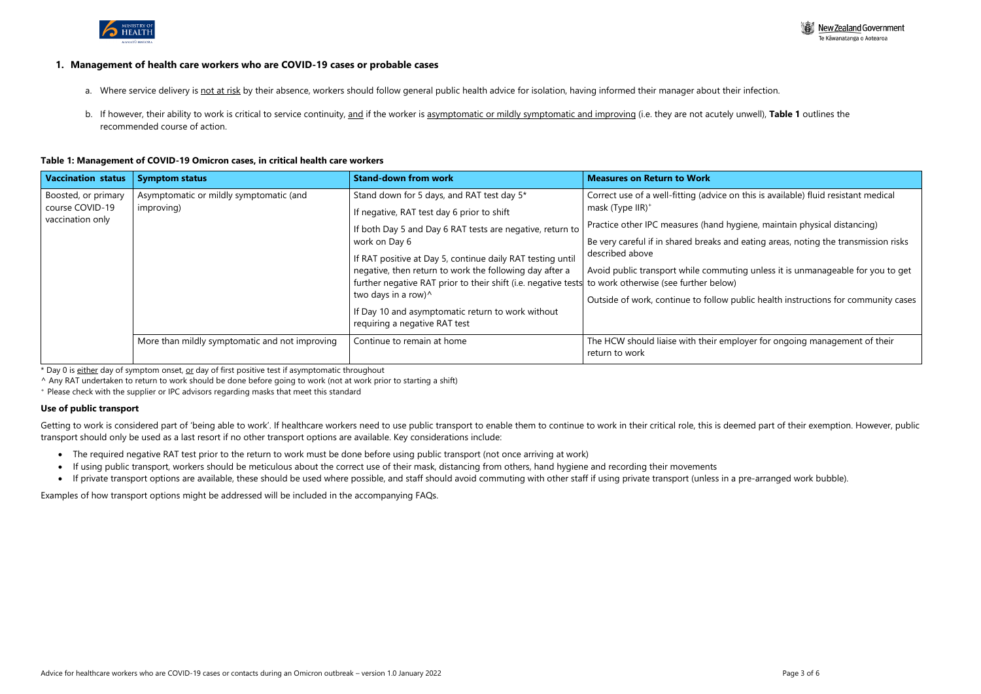

#### **1. Management of health care workers who are COVID-19 cases or probable cases**

- a. Where service delivery is not at risk by their absence, workers should follow general public health advice for isolation, having informed their manager about their infection.
- b. If however, their ability to work is critical to service continuity, and if the worker is asymptomatic or mildly symptomatic and improving (i.e. they are not acutely unwell), **Table 1** outlines the recommended course of action.

### **Table 1: Management of COVID-19 Omicron cases, in critical health care workers**

Getting to work is considered part of 'being able to work'. If healthcare workers need to use public transport to enable them to continue to work in their critical role, this is deemed part of their exemption. However, pub transport should only be used as a last resort if no other transport options are available. Key considerations include:

- The required negative RAT test prior to the return to work must be done before using public transport (not once arriving at work)
- If using public transport, workers should be meticulous about the correct use of their mask, distancing from others, hand hygiene and recording their movements
- If private transport options are available, these should be used where possible, and staff should avoid commuting with other staff if using private transport (unless in a pre-arranged work bubble).

| <b>Vaccination status</b>                                  | <b>Symptom status</b>                                 | <b>Stand-down from work</b>                                                                                                                                                                                                                                                                                                                                                                                                                                                    | <b>Measures on Return to Work</b>                                                                                                                                                                                                                                                                               |
|------------------------------------------------------------|-------------------------------------------------------|--------------------------------------------------------------------------------------------------------------------------------------------------------------------------------------------------------------------------------------------------------------------------------------------------------------------------------------------------------------------------------------------------------------------------------------------------------------------------------|-----------------------------------------------------------------------------------------------------------------------------------------------------------------------------------------------------------------------------------------------------------------------------------------------------------------|
| Boosted, or primary<br>course COVID-19<br>vaccination only | Asymptomatic or mildly symptomatic (and<br>improving) | Stand down for 5 days, and RAT test day 5*<br>If negative, RAT test day 6 prior to shift<br>If both Day 5 and Day 6 RAT tests are negative, return to<br>work on Day 6<br>If RAT positive at Day 5, continue daily RAT testing until<br>negative, then return to work the following day after a<br>further negative RAT prior to their shift (i.e. negative tests<br>two days in a row)^<br>If Day 10 and asymptomatic return to work without<br>requiring a negative RAT test | Correct use of a well-fitting (advice on<br>mask (Type $IIR$ ) <sup>+</sup><br>Practice other IPC measures (hand hyc<br>Be very careful if in shared breaks and<br>described above<br>Avoid public transport while commuting<br>to work otherwise (see further below)<br>Outside of work, continue to follow pu |
|                                                            | More than mildly symptomatic and not improving        | Continue to remain at home                                                                                                                                                                                                                                                                                                                                                                                                                                                     | The HCW should liaise with their empl<br>return to work                                                                                                                                                                                                                                                         |

\* Day 0 is either day of symptom onset, or day of first positive test if asymptomatic throughout

^ Any RAT undertaken to return to work should be done before going to work (not at work prior to starting a shift)

<sup>+</sup> Please check with the supplier or IPC advisors regarding masks that meet this standard

#### **Use of public transport**

Examples of how transport options might be addressed will be included in the accompanying FAQs.



this is available) fluid resistant medical

giene, maintain physical distancing)

eating areas, noting the transmission risks

ng unless it is unmanageable for you to get

ublic health instructions for community cases

loyer for ongoing management of their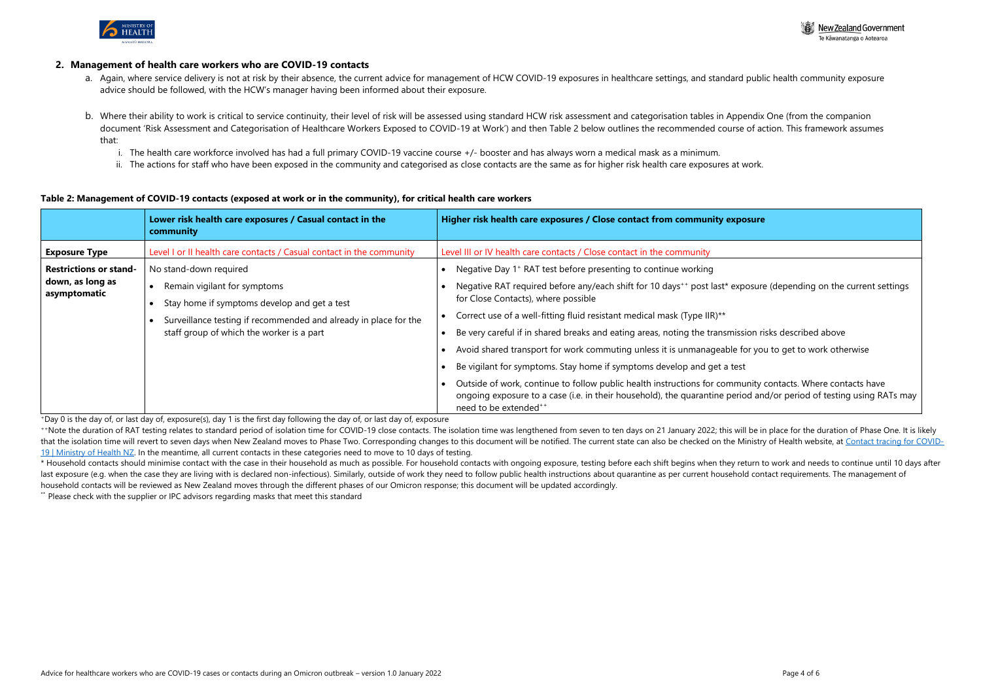

#### **2. Management of health care workers who are COVID-19 contacts**

- a. Again, where service delivery is not at risk by their absence, the current advice for management of HCW COVID-19 exposures in healthcare settings, and standard public health community exposure advice should be followed, with the HCW's manager having been informed about their exposure.
- b. Where their ability to work is critical to service continuity, their level of risk will be assessed using standard HCW risk assessment and categorisation tables in Appendix One (from the companion document 'Risk Assessment and Categorisation of Healthcare Workers Exposed to COVID-19 at Work') and then Table 2 below outlines the recommended course of action. This framework assumes that:
	- i. The health care workforce involved has had a full primary COVID-19 vaccine course +/- booster and has always worn a medical mask as a minimum.
	- ii. The actions for staff who have been exposed in the community and categorised as close contacts are the same as for higher risk health care exposures at work.

#### **Table 2: Management of COVID-19 contacts (exposed at work or in the community), for critical health care workers**

\*\*Note the duration of RAT testing relates to standard period of isolation time for COVID-19 close contacts. The isolation time was lengthened from seven to ten days on 21 January 2022; this will be in place for the durati that the isolation time will revert to seven days when New Zealand moves to Phase Two. Corresponding changes to this document will be notified. The current state can also be checked on the Ministry of Health website, at Co [19 | Ministry of Health NZ.](https://www.health.govt.nz/our-work/diseases-and-conditions/covid-19-novel-coronavirus/covid-19-health-advice-public/contact-tracing-covid-19) In the meantime, all current contacts in these categories need to move to 10 days of testing.

|                                  | Lower risk health care exposures / Casual contact in the<br>community                                         | Higher risk health care exposures / Close contact from community exposure                                                                                                                                                                                              |
|----------------------------------|---------------------------------------------------------------------------------------------------------------|------------------------------------------------------------------------------------------------------------------------------------------------------------------------------------------------------------------------------------------------------------------------|
| <b>Exposure Type</b>             | Level I or II health care contacts / Casual contact in the community                                          | Level III or IV health care contacts / Close contact in the community                                                                                                                                                                                                  |
| <b>Restrictions or stand-</b>    | No stand-down required                                                                                        | Negative Day 1 <sup>+</sup> RAT test before presenting to continue working                                                                                                                                                                                             |
| down, as long as<br>asymptomatic | Remain vigilant for symptoms<br>Stay home if symptoms develop and get a test                                  | Negative RAT required before any/each shift for 10 days <sup>++</sup> post last* exposure (depending on the current settings<br>for Close Contacts), where possible                                                                                                    |
|                                  | Surveillance testing if recommended and already in place for the<br>staff group of which the worker is a part | Correct use of a well-fitting fluid resistant medical mask (Type IIR)**<br>Be very careful if in shared breaks and eating areas, noting the transmission risks described above                                                                                         |
|                                  |                                                                                                               | Avoid shared transport for work commuting unless it is unmanageable for you to get to work otherwise                                                                                                                                                                   |
|                                  |                                                                                                               | Be vigilant for symptoms. Stay home if symptoms develop and get a test                                                                                                                                                                                                 |
|                                  |                                                                                                               | Outside of work, continue to follow public health instructions for community contacts. Where contacts have<br>ongoing exposure to a case (i.e. in their household), the quarantine period and/or period of testing using RATs may<br>need to be extended <sup>++</sup> |

\* Household contacts should minimise contact with the case in their household as much as possible. For household contacts with ongoing exposure, testing before each shift begins when they return to work and needs to contin last exposure (e.g. when the case they are living with is declared non-infectious). Similarly, outside of work they need to follow public health instructions about quarantine as per current household contact requirements. household contacts will be reviewed as New Zealand moves through the different phases of our Omicron response; this document will be updated accordingly.

\*\* Please check with the supplier or IPC advisors regarding masks that meet this standard



| osure                                                                             |
|-----------------------------------------------------------------------------------|
|                                                                                   |
| posure (depending on the current settings                                         |
| sion risks described above                                                        |
| for you to get to work otherwise                                                  |
| ;t                                                                                |
| unity contacts. Where contacts have<br>od and/or period of testing using RATs may |

<sup>+</sup>Day 0 is the day of, or last day of, exposure(s), day 1 is the first day following the day of, or last day of, exposure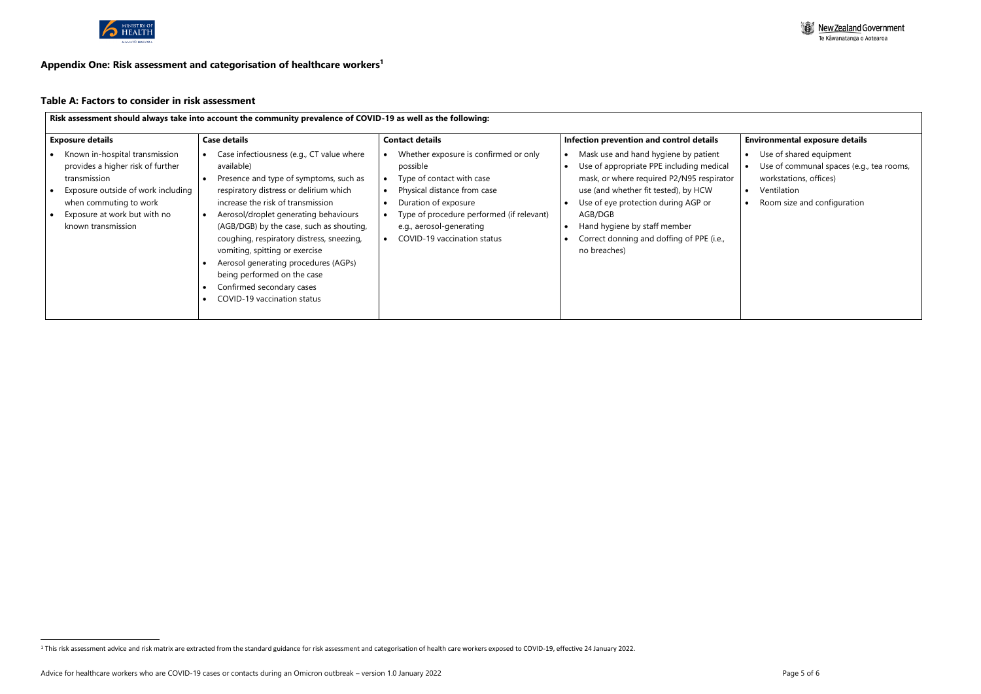

### **Appendix One: Risk assessment and categorisation of healthcare workers 1**

# **Table A: Factors to consider in risk assessment**

| <b>Exposure details</b>                                                                                                                                                                                   | <b>Case details</b>                                                                                                                                                                                                                                                                                                                                                                                                                                                                     | <b>Contact details</b>                                                                                                                                                                                                                        | Infection prevention and control details                                                                                                                                                                                                                                                                             |  |
|-----------------------------------------------------------------------------------------------------------------------------------------------------------------------------------------------------------|-----------------------------------------------------------------------------------------------------------------------------------------------------------------------------------------------------------------------------------------------------------------------------------------------------------------------------------------------------------------------------------------------------------------------------------------------------------------------------------------|-----------------------------------------------------------------------------------------------------------------------------------------------------------------------------------------------------------------------------------------------|----------------------------------------------------------------------------------------------------------------------------------------------------------------------------------------------------------------------------------------------------------------------------------------------------------------------|--|
| Known in-hospital transmission<br>provides a higher risk of further<br>transmission<br>Exposure outside of work including<br>when commuting to work<br>Exposure at work but with no<br>known transmission | Case infectiousness (e.g., CT value where<br>available)<br>Presence and type of symptoms, such as<br>respiratory distress or delirium which<br>increase the risk of transmission<br>Aerosol/droplet generating behaviours<br>(AGB/DGB) by the case, such as shouting,<br>coughing, respiratory distress, sneezing,<br>vomiting, spitting or exercise<br>Aerosol generating procedures (AGPs)<br>being performed on the case<br>Confirmed secondary cases<br>COVID-19 vaccination status | Whether exposure is confirmed or only<br>possible<br>Type of contact with case<br>Physical distance from case<br>Duration of exposure<br>Type of procedure performed (if relevant)<br>e.g., aerosol-generating<br>COVID-19 vaccination status | Mask use and hand hygiene by patient<br>Use of appropriate PPE including medical<br>mask, or where required P2/N95 respirator<br>use (and whether fit tested), by HCW<br>Use of eye protection during AGP or<br>AGB/DGB<br>Hand hygiene by staff member<br>Correct donning and doffing of PPE (i.e.,<br>no breaches) |  |



# **Environmental exposure details**

- Use of shared equipment
- Use of communal spaces (e.g., tea rooms, workstations, offices)
- Ventilation
- Room size and configuration

<sup>&</sup>lt;sup>1</sup> This risk assessment advice and risk matrix are extracted from the standard guidance for risk assessment and categorisation of health care workers exposed to COVID-19, effective 24 January 2022.

Advice for healthcare workers who are COVID-19 cases or contacts during an Omicron outbreak – version 1.0 January 2022 Page 1 0 1 and the state of the state of the Page 5 of 6